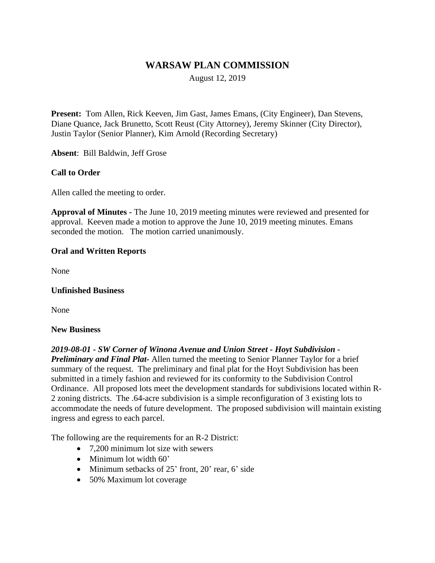# **WARSAW PLAN COMMISSION**

August 12, 2019

**Present:** Tom Allen, Rick Keeven, Jim Gast, James Emans, (City Engineer), Dan Stevens, Diane Quance, Jack Brunetto, Scott Reust (City Attorney), Jeremy Skinner (City Director), Justin Taylor (Senior Planner), Kim Arnold (Recording Secretary)

**Absent**: Bill Baldwin, Jeff Grose

#### **Call to Order**

Allen called the meeting to order.

**Approval of Minutes -** The June 10, 2019 meeting minutes were reviewed and presented for approval. Keeven made a motion to approve the June 10, 2019 meeting minutes. Emans seconded the motion. The motion carried unanimously.

#### **Oral and Written Reports**

None

#### **Unfinished Business**

None

#### **New Business**

*2019-08-01 - SW Corner of Winona Avenue and Union Street - Hoyt Subdivision - Preliminary and Final Plat-* Allen turned the meeting to Senior Planner Taylor for a brief summary of the request. The preliminary and final plat for the Hoyt Subdivision has been submitted in a timely fashion and reviewed for its conformity to the Subdivision Control Ordinance. All proposed lots meet the development standards for subdivisions located within R-2 zoning districts. The .64-acre subdivision is a simple reconfiguration of 3 existing lots to accommodate the needs of future development. The proposed subdivision will maintain existing ingress and egress to each parcel.

The following are the requirements for an R-2 District:

- 7.200 minimum lot size with sewers
- Minimum lot width 60'
- Minimum setbacks of 25' front, 20' rear, 6' side
- 50% Maximum lot coverage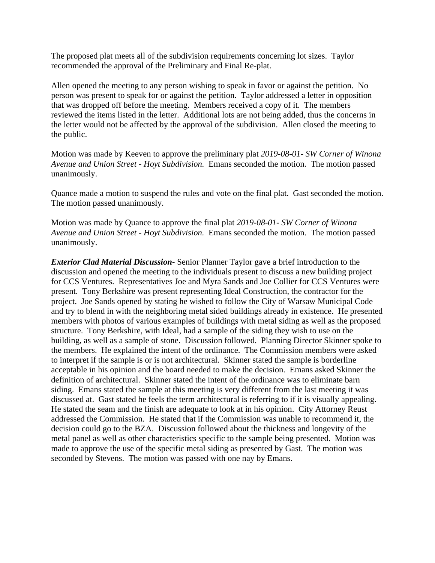The proposed plat meets all of the subdivision requirements concerning lot sizes. Taylor recommended the approval of the Preliminary and Final Re-plat.

Allen opened the meeting to any person wishing to speak in favor or against the petition. No person was present to speak for or against the petition. Taylor addressed a letter in opposition that was dropped off before the meeting. Members received a copy of it. The members reviewed the items listed in the letter. Additional lots are not being added, thus the concerns in the letter would not be affected by the approval of the subdivision. Allen closed the meeting to the public.

Motion was made by Keeven to approve the preliminary plat *2019-08-01- SW Corner of Winona Avenue and Union Street - Hoyt Subdivision.* Emans seconded the motion. The motion passed unanimously.

Quance made a motion to suspend the rules and vote on the final plat. Gast seconded the motion. The motion passed unanimously.

Motion was made by Quance to approve the final plat *2019-08-01- SW Corner of Winona Avenue and Union Street - Hoyt Subdivision.* Emans seconded the motion. The motion passed unanimously.

*Exterior Clad Material Discussion-* Senior Planner Taylor gave a brief introduction to the discussion and opened the meeting to the individuals present to discuss a new building project for CCS Ventures. Representatives Joe and Myra Sands and Joe Collier for CCS Ventures were present. Tony Berkshire was present representing Ideal Construction, the contractor for the project. Joe Sands opened by stating he wished to follow the City of Warsaw Municipal Code and try to blend in with the neighboring metal sided buildings already in existence. He presented members with photos of various examples of buildings with metal siding as well as the proposed structure. Tony Berkshire, with Ideal, had a sample of the siding they wish to use on the building, as well as a sample of stone. Discussion followed. Planning Director Skinner spoke to the members. He explained the intent of the ordinance. The Commission members were asked to interpret if the sample is or is not architectural. Skinner stated the sample is borderline acceptable in his opinion and the board needed to make the decision. Emans asked Skinner the definition of architectural. Skinner stated the intent of the ordinance was to eliminate barn siding. Emans stated the sample at this meeting is very different from the last meeting it was discussed at. Gast stated he feels the term architectural is referring to if it is visually appealing. He stated the seam and the finish are adequate to look at in his opinion. City Attorney Reust addressed the Commission. He stated that if the Commission was unable to recommend it, the decision could go to the BZA. Discussion followed about the thickness and longevity of the metal panel as well as other characteristics specific to the sample being presented. Motion was made to approve the use of the specific metal siding as presented by Gast. The motion was seconded by Stevens. The motion was passed with one nay by Emans.